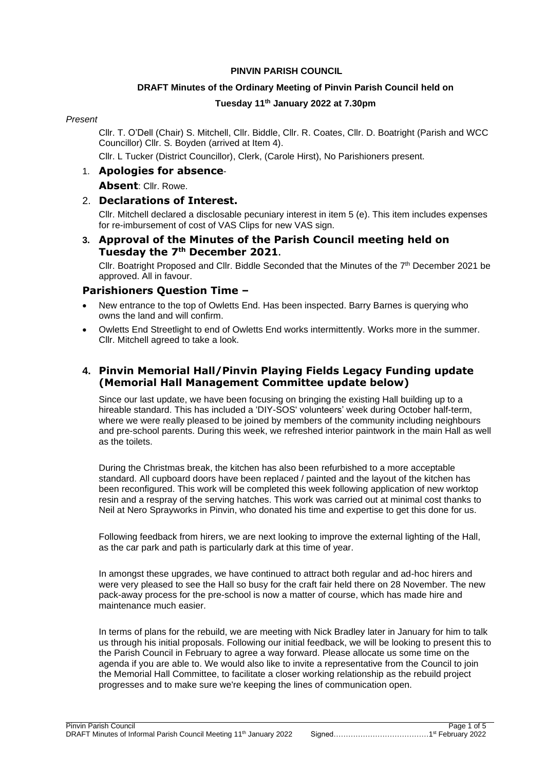#### **PINVIN PARISH COUNCIL**

### **DRAFT Minutes of the Ordinary Meeting of Pinvin Parish Council held on**

### **Tuesday 11th January 2022 at 7.30pm**

#### *Present*

Cllr. T. O'Dell (Chair) S. Mitchell, Cllr. Biddle, Cllr. R. Coates, Cllr. D. Boatright (Parish and WCC Councillor) Cllr. S. Boyden (arrived at Item 4).

Cllr. L Tucker (District Councillor), Clerk, (Carole Hirst), No Parishioners present.

### 1. **Apologies for absence**-

**Absent**: Cllr. Rowe.

### 2. **Declarations of Interest.**

Cllr. Mitchell declared a disclosable pecuniary interest in item 5 (e). This item includes expenses for re-imbursement of cost of VAS Clips for new VAS sign.

### **3. Approval of the Minutes of the Parish Council meeting held on Tuesday the 7 th December 2021.**

Cllr. Boatright Proposed and Cllr. Biddle Seconded that the Minutes of the 7<sup>th</sup> December 2021 be approved. All in favour.

### **Parishioners Question Time –**

- New entrance to the top of Owletts End. Has been inspected. Barry Barnes is querying who owns the land and will confirm.
- Owletts End Streetlight to end of Owletts End works intermittently. Works more in the summer. Cllr. Mitchell agreed to take a look.

### **4. Pinvin Memorial Hall/Pinvin Playing Fields Legacy Funding update (Memorial Hall Management Committee update below)**

Since our last update, we have been focusing on bringing the existing Hall building up to a hireable standard. This has included a 'DIY-SOS' volunteers' week during October half-term, where we were really pleased to be joined by members of the community including neighbours and pre-school parents. During this week, we refreshed interior paintwork in the main Hall as well as the toilets.

During the Christmas break, the kitchen has also been refurbished to a more acceptable standard. All cupboard doors have been replaced / painted and the layout of the kitchen has been reconfigured. This work will be completed this week following application of new worktop resin and a respray of the serving hatches. This work was carried out at minimal cost thanks to Neil at Nero Sprayworks in Pinvin, who donated his time and expertise to get this done for us.

Following feedback from hirers, we are next looking to improve the external lighting of the Hall, as the car park and path is particularly dark at this time of year.

In amongst these upgrades, we have continued to attract both regular and ad-hoc hirers and were very pleased to see the Hall so busy for the craft fair held there on 28 November. The new pack-away process for the pre-school is now a matter of course, which has made hire and maintenance much easier.

In terms of plans for the rebuild, we are meeting with Nick Bradley later in January for him to talk us through his initial proposals. Following our initial feedback, we will be looking to present this to the Parish Council in February to agree a way forward. Please allocate us some time on the agenda if you are able to. We would also like to invite a representative from the Council to join the Memorial Hall Committee, to facilitate a closer working relationship as the rebuild project progresses and to make sure we're keeping the lines of communication open.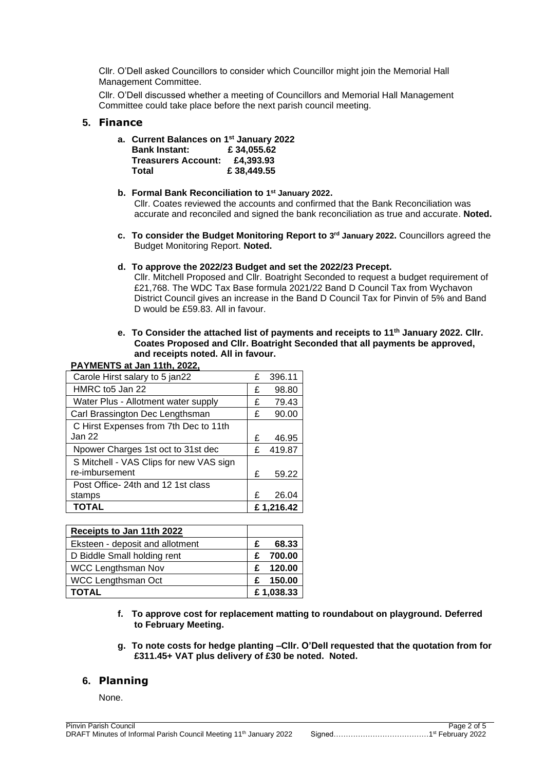Cllr. O'Dell asked Councillors to consider which Councillor might join the Memorial Hall Management Committee.

Cllr. O'Dell discussed whether a meeting of Councillors and Memorial Hall Management Committee could take place before the next parish council meeting.

#### **5. Finance**

- **a. Current Balances on 1 st January 2022 Bank Instant: £ 34,055.62 Treasurers Account: £4,393.93 Total £ 38,449.55**
- **b. Formal Bank Reconciliation to 1 st January 2022.** Cllr. Coates reviewed the accounts and confirmed that the Bank Reconciliation was accurate and reconciled and signed the bank reconciliation as true and accurate. **Noted.**
- **c. To consider the Budget Monitoring Report to 3 rd January 2022.** Councillors agreed the Budget Monitoring Report. **Noted.**
- **d. To approve the 2022/23 Budget and set the 2022/23 Precept.**

Cllr. Mitchell Proposed and Cllr. Boatright Seconded to request a budget requirement of £21,768. The WDC Tax Base formula 2021/22 Band D Council Tax from Wychavon District Council gives an increase in the Band D Council Tax for Pinvin of 5% and Band D would be £59.83. All in favour.

**e. To Consider the attached list of payments and receipts to 11th January 2022. Cllr. Coates Proposed and Cllr. Boatright Seconded that all payments be approved, and receipts noted. All in favour.**

#### **PAYMENTS at Jan 11th, 2022,**

| Carole Hirst salary to 5 jan22          | £         | 396.11 |
|-----------------------------------------|-----------|--------|
| HMRC to 5 Jan 22                        | £         | 98.80  |
| Water Plus - Allotment water supply     | £         | 79.43  |
| Carl Brassington Dec Lengthsman         | £         | 90.00  |
| C Hirst Expenses from 7th Dec to 11th   |           |        |
| Jan 22                                  | £         | 46.95  |
| Npower Charges 1st oct to 31st dec      | £         | 419.87 |
| S Mitchell - VAS Clips for new VAS sign |           |        |
| re-imbursement                          | £         | 59.22  |
| Post Office- 24th and 12 1st class      |           |        |
| stamps                                  | £         | 26.04  |
| <b>TOTAL</b>                            | £1.216.42 |        |

| Receipts to Jan 11th 2022       |   |           |
|---------------------------------|---|-----------|
| Eksteen - deposit and allotment | F | 68.33     |
| D Biddle Small holding rent     |   | 700.00    |
| <b>WCC Lengthsman Nov</b>       | £ | 120.00    |
| <b>WCC Lengthsman Oct</b>       | £ | 150.00    |
| <b>TOTAL</b>                    |   | £1,038.33 |

- **f. To approve cost for replacement matting to roundabout on playground. Deferred to February Meeting.**
- **g. To note costs for hedge planting –Cllr. O'Dell requested that the quotation from for £311.45+ VAT plus delivery of £30 be noted. Noted.**

### **6. Planning**

# None.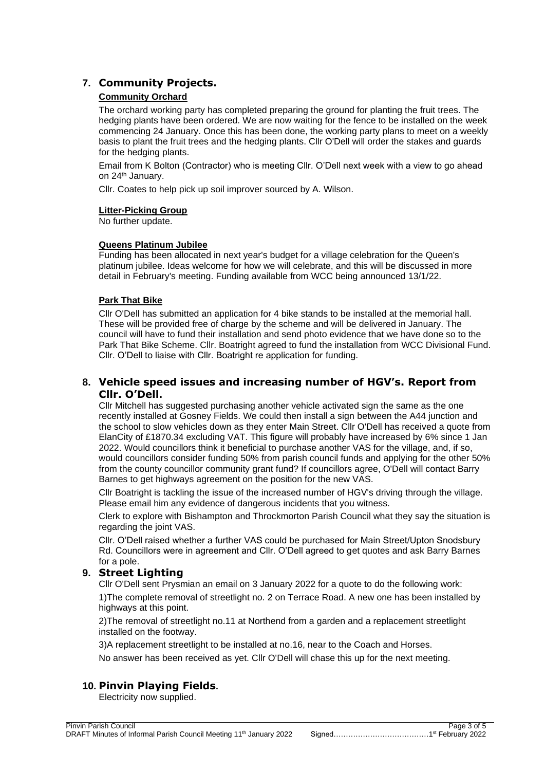# **7. Community Projects.**

### **Community Orchard**

The orchard working party has completed preparing the ground for planting the fruit trees. The hedging plants have been ordered. We are now waiting for the fence to be installed on the week commencing 24 January. Once this has been done, the working party plans to meet on a weekly basis to plant the fruit trees and the hedging plants. Cllr O'Dell will order the stakes and guards for the hedging plants.

Email from K Bolton (Contractor) who is meeting Cllr. O'Dell next week with a view to go ahead on 24<sup>th</sup> January.

Cllr. Coates to help pick up soil improver sourced by A. Wilson.

#### **Litter-Picking Group**

No further update.

#### **Queens Platinum Jubilee**

Funding has been allocated in next year's budget for a village celebration for the Queen's platinum jubilee. Ideas welcome for how we will celebrate, and this will be discussed in more detail in February's meeting. Funding available from WCC being announced 13/1/22.

#### **Park That Bike**

Cllr O'Dell has submitted an application for 4 bike stands to be installed at the memorial hall. These will be provided free of charge by the scheme and will be delivered in January. The council will have to fund their installation and send photo evidence that we have done so to the Park That Bike Scheme. Cllr. Boatright agreed to fund the installation from WCC Divisional Fund. Cllr. O'Dell to liaise with Cllr. Boatright re application for funding.

### **8. Vehicle speed issues and increasing number of HGV's. Report from Cllr. O'Dell.**

Cllr Mitchell has suggested purchasing another vehicle activated sign the same as the one recently installed at Gosney Fields. We could then install a sign between the A44 junction and the school to slow vehicles down as they enter Main Street. Cllr O'Dell has received a quote from ElanCity of £1870.34 excluding VAT. This figure will probably have increased by 6% since 1 Jan 2022. Would councillors think it beneficial to purchase another VAS for the village, and, if so, would councillors consider funding 50% from parish council funds and applying for the other 50% from the county councillor community grant fund? If councillors agree, O'Dell will contact Barry Barnes to get highways agreement on the position for the new VAS.

Cllr Boatright is tackling the issue of the increased number of HGV's driving through the village. Please email him any evidence of dangerous incidents that you witness.

Clerk to explore with Bishampton and Throckmorton Parish Council what they say the situation is regarding the joint VAS.

Cllr. O'Dell raised whether a further VAS could be purchased for Main Street/Upton Snodsbury Rd. Councillors were in agreement and Cllr. O'Dell agreed to get quotes and ask Barry Barnes for a pole.

# **9. Street Lighting**

Cllr O'Dell sent Prysmian an email on 3 January 2022 for a quote to do the following work:

1)The complete removal of streetlight no. 2 on Terrace Road. A new one has been installed by highways at this point.

2)The removal of streetlight no.11 at Northend from a garden and a replacement streetlight installed on the footway.

3)A replacement streetlight to be installed at no.16, near to the Coach and Horses.

No answer has been received as yet. Cllr O'Dell will chase this up for the next meeting.

# **10. Pinvin Playing Fields.**

Electricity now supplied.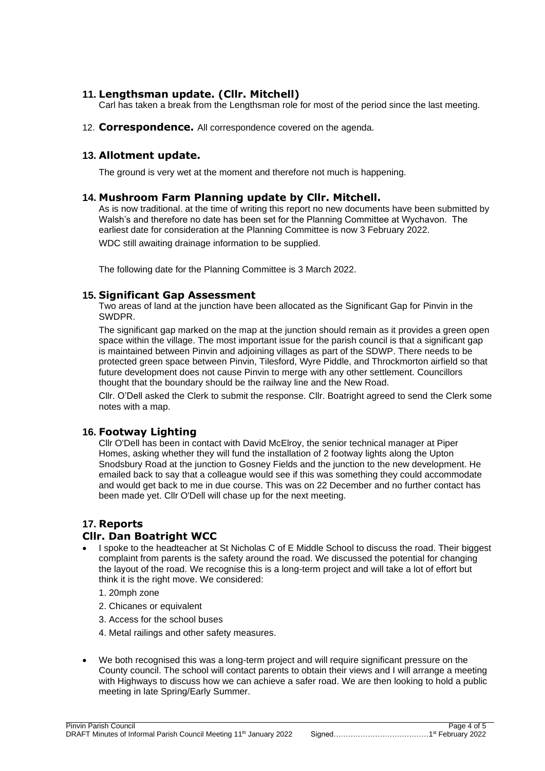## **11. Lengthsman update. (Cllr. Mitchell)**

Carl has taken a break from the Lengthsman role for most of the period since the last meeting.

12. **Correspondence.** All correspondence covered on the agenda.

### **13. Allotment update.**

The ground is very wet at the moment and therefore not much is happening.

### **14. Mushroom Farm Planning update by Cllr. Mitchell.**

As is now traditional. at the time of writing this report no new documents have been submitted by Walsh's and therefore no date has been set for the Planning Committee at Wychavon. The earliest date for consideration at the Planning Committee is now 3 February 2022. WDC still awaiting drainage information to be supplied.

The following date for the Planning Committee is 3 March 2022.

### **15. Significant Gap Assessment**

Two areas of land at the junction have been allocated as the Significant Gap for Pinvin in the SWDPR.

The significant gap marked on the map at the junction should remain as it provides a green open space within the village. The most important issue for the parish council is that a significant gap is maintained between Pinvin and adjoining villages as part of the SDWP. There needs to be protected green space between Pinvin, Tilesford, Wyre Piddle, and Throckmorton airfield so that future development does not cause Pinvin to merge with any other settlement. Councillors thought that the boundary should be the railway line and the New Road.

Cllr. O'Dell asked the Clerk to submit the response. Cllr. Boatright agreed to send the Clerk some notes with a map.

# **16. Footway Lighting**

Cllr O'Dell has been in contact with David McElroy, the senior technical manager at Piper Homes, asking whether they will fund the installation of 2 footway lights along the Upton Snodsbury Road at the junction to Gosney Fields and the junction to the new development. He emailed back to say that a colleague would see if this was something they could accommodate and would get back to me in due course. This was on 22 December and no further contact has been made yet. Cllr O'Dell will chase up for the next meeting.

# **17. Reports**

# **Cllr. Dan Boatright WCC**

- I spoke to the headteacher at St Nicholas C of E Middle School to discuss the road. Their biggest complaint from parents is the safety around the road. We discussed the potential for changing the layout of the road. We recognise this is a long-term project and will take a lot of effort but think it is the right move. We considered:
	- 1. 20mph zone
	- 2. Chicanes or equivalent
	- 3. Access for the school buses
	- 4. Metal railings and other safety measures.
- We both recognised this was a long-term project and will require significant pressure on the County council. The school will contact parents to obtain their views and I will arrange a meeting with Highways to discuss how we can achieve a safer road. We are then looking to hold a public meeting in late Spring/Early Summer.